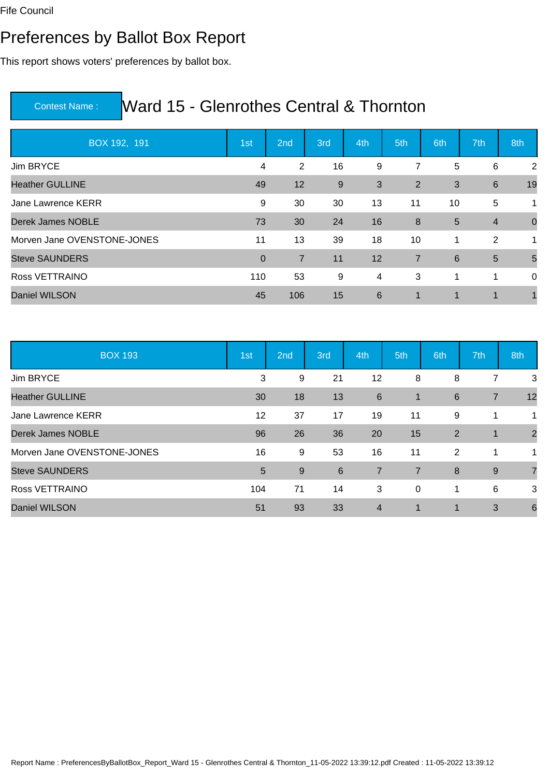### Preferences by Ballot Box Report

This report shows voters' preferences by ballot box.

| BOX 192, 191                | 1st            | 2nd            | 3rd | 4th            | 5th            | 6th | 7th            | 8th            |
|-----------------------------|----------------|----------------|-----|----------------|----------------|-----|----------------|----------------|
| Jim BRYCE                   | $\overline{4}$ | $\overline{2}$ | 16  | 9              | 7              | 5   | 6              | 2              |
| <b>Heather GULLINE</b>      | 49             | 12             | 9   | 3              | 2              | 3   | 6              | 19             |
| Jane Lawrence KERR          | 9              | 30             | 30  | 13             | 11             | 10  | 5              | $\mathbf 1$    |
| Derek James NOBLE           | 73             | 30             | 24  | 16             | 8              | 5   | $\overline{4}$ | $\overline{0}$ |
| Morven Jane OVENSTONE-JONES | 11             | 13             | 39  | 18             | 10             | 1   | 2              | $\mathbf 1$    |
| <b>Steve SAUNDERS</b>       | $\overline{0}$ | $\overline{7}$ | 11  | 12             | $\overline{7}$ | 6   | $5\phantom{1}$ | 5              |
| Ross VETTRAINO              | 110            | 53             | 9   | $\overline{4}$ | 3              | 1   | 1              | $\mathbf 0$    |
| Daniel WILSON               | 45             | 106            | 15  | 6              | $\mathbf 1$    | 1   | 1              |                |

| <b>BOX 193</b>              | 1st | 2nd   | 3rd | 4th            | 5th            | 6th         | 7th            | 8th             |
|-----------------------------|-----|-------|-----|----------------|----------------|-------------|----------------|-----------------|
| Jim BRYCE                   | 3   | 9     | 21  | 12             | 8              | 8           | 7              | 3               |
| <b>Heather GULLINE</b>      | 30  | 18    | 13  | 6              | $\mathbf 1$    | $\,6$       | $\overline{7}$ | 12              |
| Jane Lawrence KERR          | 12  | 37    | 17  | 19             | 11             | 9           | 1              | 1               |
| Derek James NOBLE           | 96  | 26    | 36  | 20             | 15             | 2           | $\mathbf 1$    | $\overline{2}$  |
| Morven Jane OVENSTONE-JONES | 16  | 9     | 53  | 16             | 11             | 2           | 1              | 1               |
| <b>Steve SAUNDERS</b>       | 5   | $9\,$ | 6   | $\overline{7}$ | $\overline{7}$ | 8           | 9              | $\overline{7}$  |
| Ross VETTRAINO              | 104 | 71    | 14  | 3              | $\mathbf 0$    | 1           | 6              | 3               |
| Daniel WILSON               | 51  | 93    | 33  | $\overline{4}$ | 1              | $\mathbf 1$ | 3              | $6\phantom{1}6$ |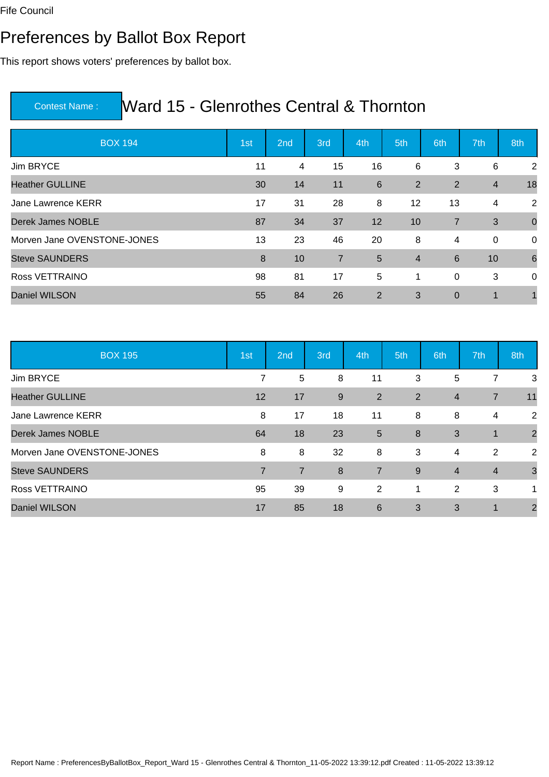### Preferences by Ballot Box Report

This report shows voters' preferences by ballot box.

| <b>BOX 194</b>              | 1st | 2 <sub>nd</sub> | 3rd            | 4th            | 5th            | 6th            | 7th            | 8th            |
|-----------------------------|-----|-----------------|----------------|----------------|----------------|----------------|----------------|----------------|
| Jim BRYCE                   | 11  | 4               | 15             | 16             | 6              | 3              | 6              | 2              |
| <b>Heather GULLINE</b>      | 30  | 14              | 11             | 6              | $\overline{2}$ | $\overline{2}$ | $\overline{4}$ | 18             |
| Jane Lawrence KERR          | 17  | 31              | 28             | 8              | 12             | 13             | 4              | 2              |
| Derek James NOBLE           | 87  | 34              | 37             | 12             | 10             | $\overline{7}$ | 3              | $\overline{0}$ |
| Morven Jane OVENSTONE-JONES | 13  | 23              | 46             | 20             | 8              | 4              | 0              | $\overline{0}$ |
| <b>Steve SAUNDERS</b>       | 8   | 10              | $\overline{7}$ | 5              | $\overline{4}$ | $6\phantom{1}$ | 10             | 6              |
| Ross VETTRAINO              | 98  | 81              | 17             | 5              | 1              | 0              | 3              | $\Omega$       |
| <b>Daniel WILSON</b>        | 55  | 84              | 26             | $\overline{2}$ | 3              | $\overline{0}$ | 1              |                |

| <b>BOX 195</b>              | 1st            | 2nd            | 3rd | 4th            | 5th | 6th            | 7th            | 8th            |
|-----------------------------|----------------|----------------|-----|----------------|-----|----------------|----------------|----------------|
| Jim BRYCE                   | 7              | $\overline{5}$ | 8   | 11             | 3   | 5              | 7              | 3              |
| <b>Heather GULLINE</b>      | 12             | 17             | 9   | $\overline{2}$ | 2   | $\overline{4}$ | $\overline{7}$ | 11             |
| Jane Lawrence KERR          | 8              | 17             | 18  | 11             | 8   | 8              | 4              | 2              |
| <b>Derek James NOBLE</b>    | 64             | 18             | 23  | $5\phantom{1}$ | 8   | 3              | $\mathbf 1$    | $\overline{2}$ |
| Morven Jane OVENSTONE-JONES | 8              | 8              | 32  | 8              | 3   | 4              | 2              | 2              |
| <b>Steve SAUNDERS</b>       | $\overline{7}$ | $\overline{7}$ | 8   | $\overline{7}$ | 9   | $\overline{4}$ | $\overline{4}$ | 3              |
| Ross VETTRAINO              | 95             | 39             | 9   | $\overline{2}$ | 1   | 2              | 3              | 1              |
| Daniel WILSON               | 17             | 85             | 18  | 6              | 3   | 3              | $\overline{1}$ | $\overline{2}$ |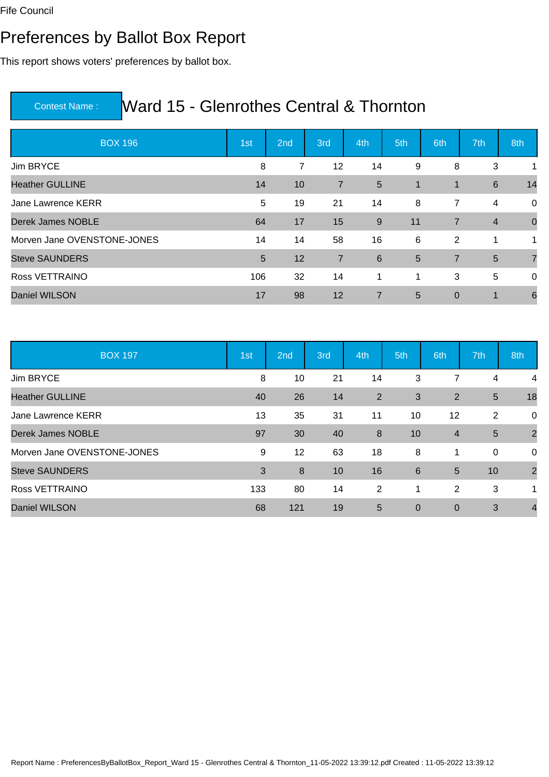### Preferences by Ballot Box Report

This report shows voters' preferences by ballot box.

| <b>BOX 196</b>              | 1st | 2nd | 3rd            | 4th            | 5th             | 6th            | 7th             | 8th            |
|-----------------------------|-----|-----|----------------|----------------|-----------------|----------------|-----------------|----------------|
| Jim BRYCE                   | 8   | 7   | 12             | 14             | 9               | 8              | 3               | 1              |
| <b>Heather GULLINE</b>      | 14  | 10  | $\overline{7}$ | 5              | $\mathbf{1}$    | $\mathbf 1$    | $6\phantom{1}6$ | 14             |
| Jane Lawrence KERR          | 5   | 19  | 21             | 14             | 8               | 7              | 4               | 0              |
| Derek James NOBLE           | 64  | 17  | 15             | $9\,$          | 11              | $\overline{7}$ | $\overline{4}$  | $\overline{0}$ |
| Morven Jane OVENSTONE-JONES | 14  | 14  | 58             | 16             | 6               | $\overline{2}$ | 1               | 1              |
| <b>Steve SAUNDERS</b>       | 5   | 12  | $\overline{7}$ | $6\phantom{1}$ | $5\phantom{.0}$ | $\overline{7}$ | $5\phantom{1}$  | $\overline{7}$ |
| Ross VETTRAINO              | 106 | 32  | 14             | 1              | 1               | 3              | 5               | $\mathbf 0$    |
| <b>Daniel WILSON</b>        | 17  | 98  | 12             | $\overline{7}$ | 5               | $\mathbf 0$    | 1               | 6              |

| <b>BOX 197</b>              | 1st | 2nd              | 3rd | 4th | 5th            | 6th            | 7th            | 8th            |
|-----------------------------|-----|------------------|-----|-----|----------------|----------------|----------------|----------------|
| Jim BRYCE                   | 8   | 10               | 21  | 14  | 3              | 7              | 4              | 4              |
| <b>Heather GULLINE</b>      | 40  | 26               | 14  | 2   | $\mathfrak{B}$ | 2              | $5\phantom{1}$ | 18             |
| Jane Lawrence KERR          | 13  | 35               | 31  | 11  | 10             | 12             | $\overline{2}$ | 0              |
| Derek James NOBLE           | 97  | 30               | 40  | 8   | 10             | $\overline{4}$ | $5\phantom{1}$ | $\overline{2}$ |
| Morven Jane OVENSTONE-JONES | 9   | 12               | 63  | 18  | 8              | 1              | 0              | 0              |
| <b>Steve SAUNDERS</b>       | 3   | $\boldsymbol{8}$ | 10  | 16  | 6              | 5              | 10             | $\overline{2}$ |
| Ross VETTRAINO              | 133 | 80               | 14  | 2   | 1              | $\overline{2}$ | 3              | 1              |
| Daniel WILSON               | 68  | 121              | 19  | 5   | $\overline{0}$ | $\mathbf 0$    | 3              | $\overline{4}$ |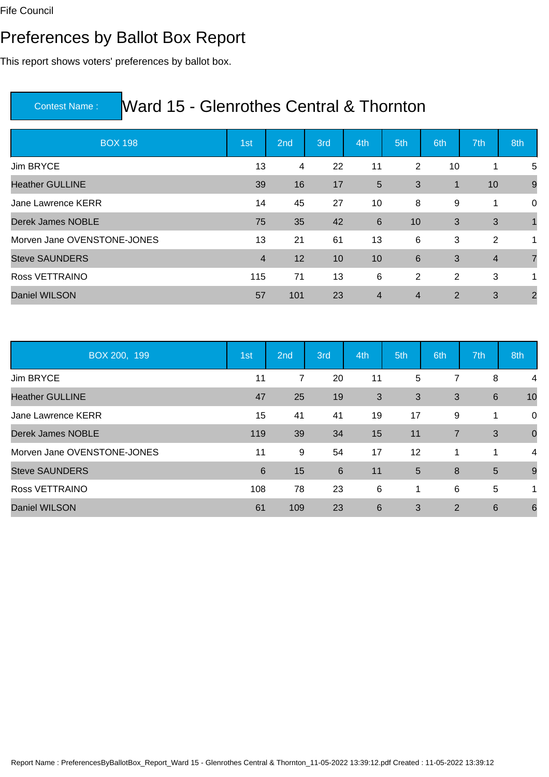### Preferences by Ballot Box Report

This report shows voters' preferences by ballot box.

| <b>BOX 198</b>              | 1st            | 2nd | 3rd | 4th            | 5th            | 6th          | 7th            | 8th            |
|-----------------------------|----------------|-----|-----|----------------|----------------|--------------|----------------|----------------|
| Jim BRYCE                   | 13             | 4   | 22  | 11             | 2              | 10           | 1              | 5              |
| <b>Heather GULLINE</b>      | 39             | 16  | 17  | $5\phantom{.}$ | 3              | $\mathbf{1}$ | 10             | 9              |
| Jane Lawrence KERR          | 14             | 45  | 27  | 10             | 8              | 9            | 1              | 0              |
| Derek James NOBLE           | 75             | 35  | 42  | $6\phantom{1}$ | 10             | 3            | 3              |                |
| Morven Jane OVENSTONE-JONES | 13             | 21  | 61  | 13             | 6              | 3            | 2              | 1              |
| <b>Steve SAUNDERS</b>       | $\overline{4}$ | 12  | 10  | 10             | 6              | 3            | $\overline{4}$ | $\overline{7}$ |
| Ross VETTRAINO              | 115            | 71  | 13  | 6              | 2              | 2            | 3              | $\mathbf 1$    |
| <b>Daniel WILSON</b>        | 57             | 101 | 23  | $\overline{4}$ | $\overline{4}$ | 2            | 3              | $\overline{2}$ |

| BOX 200, 199                | 1st | 2nd | 3rd | 4th | 5th            | 6th            | 7th             | 8th         |
|-----------------------------|-----|-----|-----|-----|----------------|----------------|-----------------|-------------|
| Jim BRYCE                   | 11  | 7   | 20  | 11  | 5              | 7              | 8               | 4           |
| <b>Heather GULLINE</b>      | 47  | 25  | 19  | 3   | 3              | 3              | $6\phantom{1}6$ | 10          |
| Jane Lawrence KERR          | 15  | 41  | 41  | 19  | 17             | 9              | 1               | 0           |
| Derek James NOBLE           | 119 | 39  | 34  | 15  | 11             | $\overline{7}$ | 3               | $\mathbf 0$ |
| Morven Jane OVENSTONE-JONES | 11  | 9   | 54  | 17  | 12             | 1              | 1               | 4           |
| <b>Steve SAUNDERS</b>       | 6   | 15  | 6   | 11  | $5\phantom{1}$ | 8              | 5               | 9           |
| Ross VETTRAINO              | 108 | 78  | 23  | 6   | 1              | 6              | 5               | 1           |
| Daniel WILSON               | 61  | 109 | 23  | 6   | 3              | $\overline{2}$ | $6\phantom{1}6$ | 6           |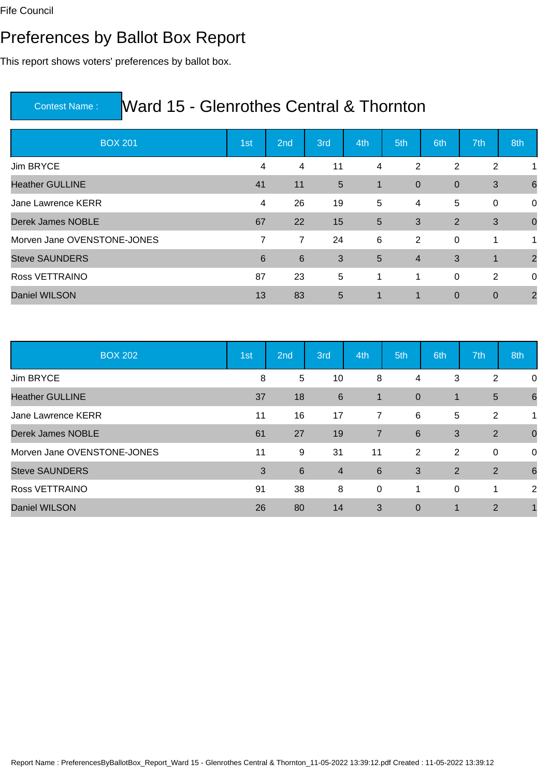### Preferences by Ballot Box Report

This report shows voters' preferences by ballot box.

| <b>BOX 201</b>              | 1st            | 2nd             | 3rd             | 4th            | 5th            | 6th            | 7th            | 8th             |
|-----------------------------|----------------|-----------------|-----------------|----------------|----------------|----------------|----------------|-----------------|
| Jim BRYCE                   | 4              | 4               | 11              | $\overline{4}$ | 2              | 2              | $\overline{2}$ |                 |
| <b>Heather GULLINE</b>      | 41             | 11              | $5\overline{)}$ | $\mathbf 1$    | $\overline{0}$ | $\overline{0}$ | 3              | $6\phantom{1}6$ |
| Jane Lawrence KERR          | 4              | 26              | 19              | 5              | $\overline{4}$ | 5              | 0              | 0               |
| <b>Derek James NOBLE</b>    | 67             | 22              | 15              | $5\phantom{1}$ | 3              | 2              | 3              | $\overline{0}$  |
| Morven Jane OVENSTONE-JONES | $\overline{7}$ | $\overline{7}$  | 24              | 6              | 2              | 0              | 1              | 1               |
| <b>Steve SAUNDERS</b>       | 6              | $6\phantom{1}6$ | 3               | $5\phantom{1}$ | $\overline{4}$ | 3              | $\overline{1}$ | $\overline{2}$  |
| Ross VETTRAINO              | 87             | 23              | 5               | $\mathbf{1}$   | $\mathbf{1}$   | $\mathbf 0$    | 2              | 0               |
| <b>Daniel WILSON</b>        | 13             | 83              | $5\phantom{1}$  | $\mathbf 1$    | 1              | $\mathbf 0$    | $\mathbf 0$    | $\overline{2}$  |

| <b>BOX 202</b>              | 1st | 2nd | 3rd            | 4th            | 5th            | 6th          | 7th            | 8th             |
|-----------------------------|-----|-----|----------------|----------------|----------------|--------------|----------------|-----------------|
| Jim BRYCE                   | 8   | 5   | 10             | 8              | 4              | 3            | $\overline{2}$ | 0               |
| <b>Heather GULLINE</b>      | 37  | 18  | 6              | $\mathbf{1}$   | $\overline{0}$ | $\mathbf{1}$ | $5\phantom{1}$ | $6\phantom{1}6$ |
| Jane Lawrence KERR          | 11  | 16  | 17             | 7              | 6              | 5            | $\overline{2}$ | 1               |
| Derek James NOBLE           | 61  | 27  | 19             | $\overline{7}$ | 6              | 3            | 2              | $\overline{0}$  |
| Morven Jane OVENSTONE-JONES | 11  | 9   | 31             | 11             | 2              | 2            | 0              | 0               |
| <b>Steve SAUNDERS</b>       | 3   | 6   | $\overline{4}$ | 6              | 3              | 2            | 2              | $6\phantom{1}6$ |
| Ross VETTRAINO              | 91  | 38  | 8              | $\mathbf 0$    | 1              | 0            | 1              | 2               |
| Daniel WILSON               | 26  | 80  | 14             | 3              | $\mathbf 0$    | $\mathbf 1$  | $\overline{2}$ |                 |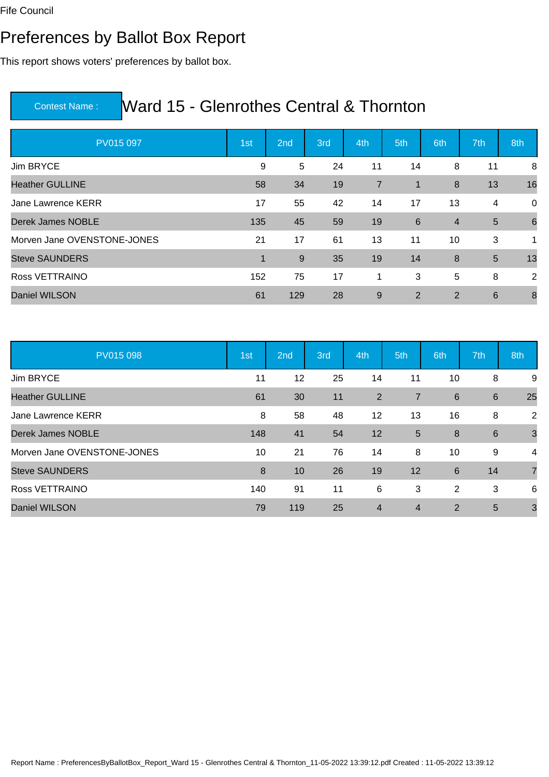### Preferences by Ballot Box Report

This report shows voters' preferences by ballot box.

| PV015 097                   | 1st         | 2nd | 3rd | 4th            | 5th            | 6th            | 7th | 8th              |
|-----------------------------|-------------|-----|-----|----------------|----------------|----------------|-----|------------------|
| Jim BRYCE                   | 9           | 5   | 24  | 11             | 14             | 8              | 11  | 8                |
| <b>Heather GULLINE</b>      | 58          | 34  | 19  | $\overline{7}$ | $\mathbf{1}$   | 8              | 13  | 16               |
| Jane Lawrence KERR          | 17          | 55  | 42  | 14             | 17             | 13             | 4   | 0                |
| Derek James NOBLE           | 135         | 45  | 59  | 19             | 6              | $\overline{4}$ | 5   | 6                |
| Morven Jane OVENSTONE-JONES | 21          | 17  | 61  | 13             | 11             | 10             | 3   | $\mathbf 1$      |
| <b>Steve SAUNDERS</b>       | $\mathbf 1$ | 9   | 35  | 19             | 14             | 8              | 5   | 13               |
| Ross VETTRAINO              | 152         | 75  | 17  | 1              | 3              | 5              | 8   | 2                |
| <b>Daniel WILSON</b>        | 61          | 129 | 28  | 9              | $\overline{2}$ | $\overline{2}$ | 6   | $\boldsymbol{8}$ |

| PV015 098                   | 1st | 2nd | 3rd | 4th            | 5th            | 6th            | 7th | 8th            |
|-----------------------------|-----|-----|-----|----------------|----------------|----------------|-----|----------------|
| Jim BRYCE                   | 11  | 12  | 25  | 14             | 11             | 10             | 8   | 9              |
| <b>Heather GULLINE</b>      | 61  | 30  | 11  | $\overline{2}$ | $\overline{7}$ | $\,6$          | 6   | 25             |
| Jane Lawrence KERR          | 8   | 58  | 48  | 12             | 13             | 16             | 8   | $\overline{2}$ |
| Derek James NOBLE           | 148 | 41  | 54  | 12             | $5\phantom{1}$ | 8              | 6   | $\mathbf{3}$   |
| Morven Jane OVENSTONE-JONES | 10  | 21  | 76  | 14             | 8              | 10             | 9   | 4              |
| <b>Steve SAUNDERS</b>       | 8   | 10  | 26  | 19             | 12             | $6\phantom{1}$ | 14  | $\overline{7}$ |
| Ross VETTRAINO              | 140 | 91  | 11  | 6              | 3              | 2              | 3   | 6              |
| Daniel WILSON               | 79  | 119 | 25  | $\overline{4}$ | $\overline{4}$ | 2              | 5   | $\overline{3}$ |